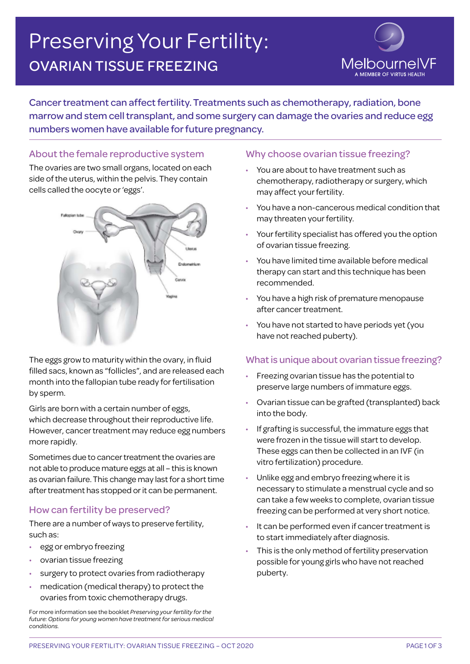# Preserving Your Fertility: OVARIAN TISSUE FREEZING



Cancer treatment can affect fertility. Treatments such as chemotherapy, radiation, bone marrow and stem cell transplant, and some surgery can damage the ovaries and reduce egg numbers women have available for future pregnancy.

# About the female reproductive system

The ovaries are two small organs, located on each side of the uterus, within the pelvis. They contain cells called the oocyte or 'eggs'.



The eggs grow to maturity within the ovary, in fluid filled sacs, known as "follicles", and are released each month into the fallopian tube ready for fertilisation by sperm.

Girls are born with a certain number of eggs, which decrease throughout their reproductive life. However, cancer treatment may reduce egg numbers more rapidly.

Sometimes due to cancer treatment the ovaries are not able to produce mature eggs at all – this is known as ovarian failure. This change may last for a short time after treatment has stopped or it can be permanent.

# How can fertility be preserved?

There are a number of ways to preserve fertility, such as:

- egg or embryo freezing
- ovarian tissue freezing
- surgery to protect ovaries from radiotherapy
- medication (medical therapy) to protect the ovaries from toxic chemotherapy drugs.

For more information see the booklet *Preserving your fertility for the future: Options for young women have treatment for serious medical conditions.* 

# Why choose ovarian tissue freezing?

- You are about to have treatment such as chemotherapy, radiotherapy or surgery, which may affect your fertility.
- You have a non-cancerous medical condition that may threaten your fertility.
- Your fertility specialist has offered you the option of ovarian tissue freezing.
- You have limited time available before medical therapy can start and this technique has been recommended.
- You have a high risk of premature menopause after cancer treatment.
- You have not started to have periods yet (you have not reached puberty).

# What is unique about ovarian tissue freezing?

- Freezing ovarian tissue has the potential to preserve large numbers of immature eggs.
- Ovarian tissue can be grafted (transplanted) back into the body.
- If grafting is successful, the immature eggs that were frozen in the tissue will start to develop. These eggs can then be collected in an IVF (in vitro fertilization) procedure.
- Unlike egg and embryo freezing where it is necessary to stimulate a menstrual cycle and so can take a few weeks to complete, ovarian tissue freezing can be performed at very short notice.
- It can be performed even if cancer treatment is to start immediately after diagnosis.
- This is the only method of fertility preservation possible for young girls who have not reached puberty.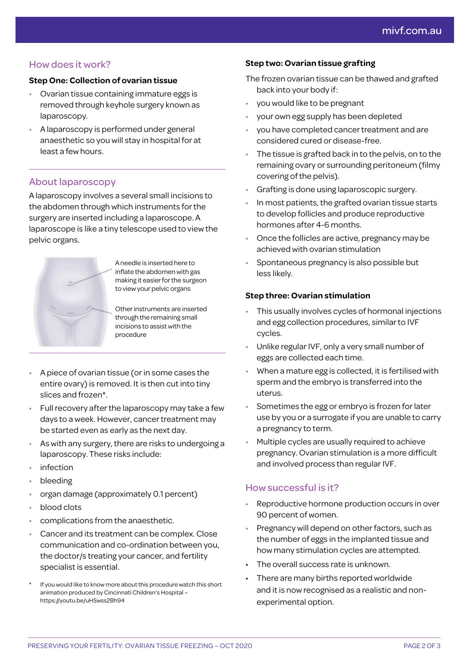# How does it work?

#### **Step One: Collection of ovarian tissue**

- Ovarian tissue containing immature eggs is removed through keyhole surgery known as laparoscopy.
- A laparoscopy is performed under general anaesthetic so you will stay in hospital for at least a few hours.

# About laparoscopy

A laparoscopy involves a several small incisions to the abdomen through which instruments for the surgery are inserted including a laparoscope. A laparoscope is like a tiny telescope used to view the pelvic organs.

> A needle is inserted here to inflate the abdomen with gas making it easier for the surgeon to view your pelvic organs

> Other instruments are inserted through the remaining small incisions to assist with the

• A piece of ovarian tissue (or in some cases the entire ovary) is removed. It is then cut into tiny slices and frozen\*.

procedure

- Full recovery after the laparoscopy may take a few days to a week. However, cancer treatment may be started even as early as the next day.
- As with any surgery, there are risks to undergoing a laparoscopy. These risks include:
- **infection**
- bleeding
- organ damage (approximately 0.1 percent)
- blood clots
- complications from the anaesthetic.
- Cancer and its treatment can be complex. Close communication and co-ordination between you, the doctor/s treating your cancer, and fertility specialist is essential.
- If you would like to know more about this procedure watch this short animation produced by Cincinnati Children's Hospital – https://youtu.be/uHSwss2Bh94

#### **Step two: Ovarian tissue grafting**

The frozen ovarian tissue can be thawed and grafted back into your body if:

- you would like to be pregnant
- your own egg supply has been depleted
- you have completed cancer treatment and are considered cured or disease-free.
- The tissue is grafted back in to the pelvis, on to the remaining ovary or surrounding peritoneum (filmy covering of the pelvis).
- Grafting is done using laparoscopic surgery.
- In most patients, the grafted ovarian tissue starts to develop follicles and produce reproductive hormones after 4-6 months.
- Once the follicles are active, pregnancy may be achieved with ovarian stimulation
- Spontaneous pregnancy is also possible but less likely.

#### **Step three: Ovarian stimulation**

- This usually involves cycles of hormonal injections and egg collection procedures, similar to IVF cycles.
- Unlike regular IVF, only a very small number of eggs are collected each time.
- When a mature egg is collected, it is fertilised with sperm and the embryo is transferred into the uterus.
- Sometimes the egg or embryo is frozen for later use by you or a surrogate if you are unable to carry a pregnancy to term.
- Multiple cycles are usually required to achieve pregnancy. Ovarian stimulation is a more difficult and involved process than regular IVF.

# How successful is it?

- Reproductive hormone production occurs in over 90 percent of women.
- Pregnancy will depend on other factors, such as the number of eggs in the implanted tissue and how many stimulation cycles are attempted.
- The overall success rate is unknown.
- There are many births reported worldwide and it is now recognised as a realistic and nonexperimental option.